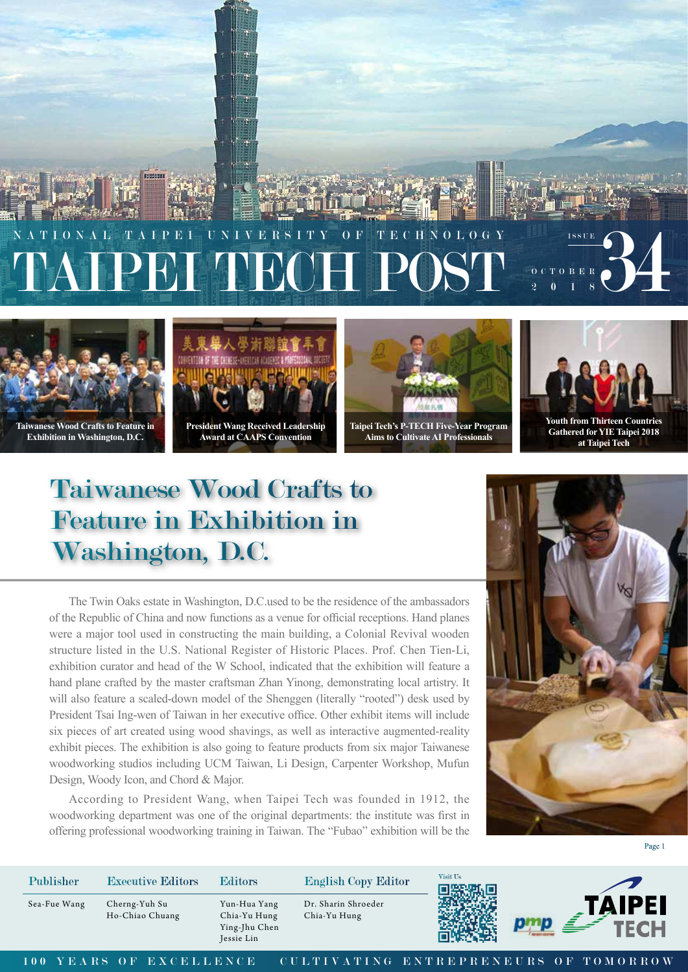



**Exhibition in Washington, D.C.**



**Award at CAAPS Convention**



**Taipei Tech's P-TECH Five-Year Program Aims to Cultivate AI Professionals**



**Gathered for YIE Taipei 2018 at Taipei Tech**

## Taiwanese Wood Crafts to Feature in Exhibition in Washington, D.C.

The Twin Oaks estate in Washington, D.C.used to be the residence of the ambassadors of the Republic of China and now functions as a venue for official receptions. Hand planes were a major tool used in constructing the main building, a Colonial Revival wooden structure listed in the U.S. National Register of Historic Places. Prof. Chen Tien-Li, exhibition curator and head of the W School, indicated that the exhibition will feature a hand plane crafted by the master craftsman Zhan Yinong, demonstrating local artistry. It will also feature a scaled-down model of the Shenggen (literally "rooted") desk used by President Tsai Ing-wen of Taiwan in her executive office. Other exhibit items will include six pieces of art created using wood shavings, as well as interactive augmented-reality exhibit pieces. The exhibition is also going to feature products from six major Taiwanese woodworking studios including UCM Taiwan, Li Design, Carpenter Workshop, Mufun Design, Woody Icon, and Chord & Major.

According to President Wang, when Taipei Tech was founded in 1912, the woodworking department was one of the original departments: the institute was first in offering professional woodworking training in Taiwan. The "Fubao" exhibition will be the



Page 1

Cherng-Yuh Su Sea-Fue Wang Yun-Hua Yang Ho-Chiao Chuang Publisher Executive Editors Editors English Copy Editor



Dr. Sharin Shroeder Chia-Yu Hung

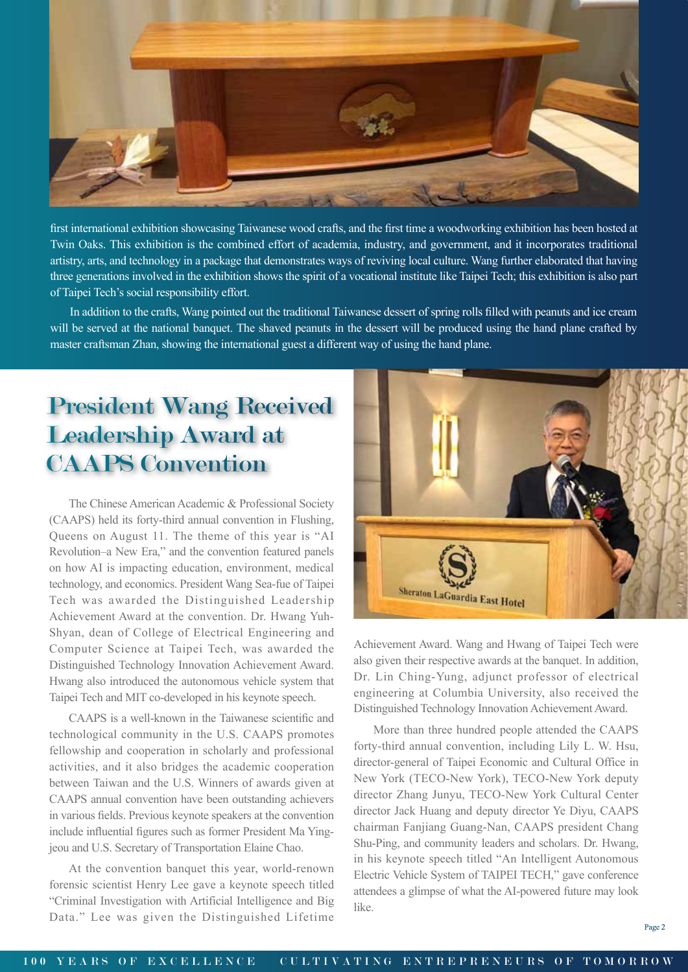

first international exhibition showcasing Taiwanese wood crafts, and the first time a woodworking exhibition has been hosted at Twin Oaks. This exhibition is the combined effort of academia, industry, and government, and it incorporates traditional artistry, arts, and technology in a package that demonstrates ways of reviving local culture. Wang further elaborated that having three generations involved in the exhibition shows the spirit of a vocational institute like Taipei Tech; this exhibition is also part of Taipei Tech's social responsibility effort.

In addition to the crafts, Wang pointed out the traditional Taiwanese dessert of spring rolls filled with peanuts and ice cream will be served at the national banquet. The shaved peanuts in the dessert will be produced using the hand plane crafted by master craftsman Zhan, showing the international guest a different way of using the hand plane.

## President Wang Received Leadership Award at CAAPS Convention

The Chinese American Academic & Professional Society (CAAPS) held its forty-third annual convention in Flushing, Queens on August 11. The theme of this year is "AI Revolution–a New Era," and the convention featured panels on how AI is impacting education, environment, medical technology, and economics. President Wang Sea-fue of Taipei Tech was awarded the Distinguished Leadership Achievement Award at the convention. Dr. Hwang Yuh-Shyan, dean of College of Electrical Engineering and Computer Science at Taipei Tech, was awarded the Distinguished Technology Innovation Achievement Award. Hwang also introduced the autonomous vehicle system that Taipei Tech and MIT co-developed in his keynote speech.

CAAPS is a well-known in the Taiwanese scientific and technological community in the U.S. CAAPS promotes fellowship and cooperation in scholarly and professional activities, and it also bridges the academic cooperation between Taiwan and the U.S. Winners of awards given at CAAPS annual convention have been outstanding achievers in various fields. Previous keynote speakers at the convention include influential figures such as former President Ma Yingjeou and U.S. Secretary of Transportation Elaine Chao.

At the convention banquet this year, world-renown forensic scientist Henry Lee gave a keynote speech titled "Criminal Investigation with Artificial Intelligence and Big Data." Lee was given the Distinguished Lifetime



Achievement Award. Wang and Hwang of Taipei Tech were also given their respective awards at the banquet. In addition, Dr. Lin Ching-Yung, adjunct professor of electrical engineering at Columbia University, also received the Distinguished Technology Innovation Achievement Award.

More than three hundred people attended the CAAPS forty-third annual convention, including Lily L. W. Hsu, director-general of Taipei Economic and Cultural Office in New York (TECO-New York), TECO-New York deputy director Zhang Junyu, TECO-New York Cultural Center director Jack Huang and deputy director Ye Diyu, CAAPS chairman Fanjiang Guang-Nan, CAAPS president Chang Shu-Ping, and community leaders and scholars. Dr. Hwang, in his keynote speech titled "An Intelligent Autonomous Electric Vehicle System of TAIPEI TECH," gave conference attendees a glimpse of what the AI-powered future may look like.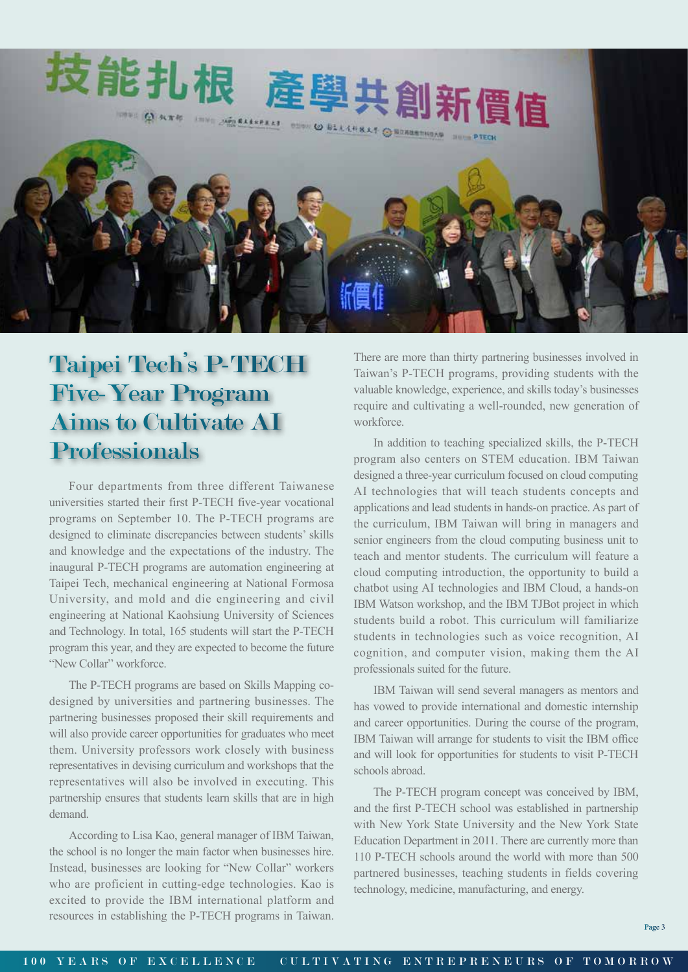

## Taipei Tech's P-TECH Five-Year Program Aims to Cultivate AI **Professionals**

Four departments from three different Taiwanese universities started their first P-TECH five-year vocational programs on September 10. The P-TECH programs are designed to eliminate discrepancies between students' skills and knowledge and the expectations of the industry. The inaugural P-TECH programs are automation engineering at Taipei Tech, mechanical engineering at National Formosa University, and mold and die engineering and civil engineering at National Kaohsiung University of Sciences and Technology. In total, 165 students will start the P-TECH program this year, and they are expected to become the future "New Collar" workforce.

The P-TECH programs are based on Skills Mapping codesigned by universities and partnering businesses. The partnering businesses proposed their skill requirements and will also provide career opportunities for graduates who meet them. University professors work closely with business representatives in devising curriculum and workshops that the representatives will also be involved in executing. This partnership ensures that students learn skills that are in high demand.

According to Lisa Kao, general manager of IBM Taiwan, the school is no longer the main factor when businesses hire. Instead, businesses are looking for "New Collar" workers who are proficient in cutting-edge technologies. Kao is excited to provide the IBM international platform and resources in establishing the P-TECH programs in Taiwan.

There are more than thirty partnering businesses involved in Taiwan's P-TECH programs, providing students with the valuable knowledge, experience, and skills today's businesses require and cultivating a well-rounded, new generation of workforce.

In addition to teaching specialized skills, the P-TECH program also centers on STEM education. IBM Taiwan designed a three-year curriculum focused on cloud computing AI technologies that will teach students concepts and applications and lead students in hands-on practice. As part of the curriculum, IBM Taiwan will bring in managers and senior engineers from the cloud computing business unit to teach and mentor students. The curriculum will feature a cloud computing introduction, the opportunity to build a chatbot using AI technologies and IBM Cloud, a hands-on IBM Watson workshop, and the IBM TJBot project in which students build a robot. This curriculum will familiarize students in technologies such as voice recognition, AI cognition, and computer vision, making them the AI professionals suited for the future.

IBM Taiwan will send several managers as mentors and has vowed to provide international and domestic internship and career opportunities. During the course of the program, IBM Taiwan will arrange for students to visit the IBM office and will look for opportunities for students to visit P-TECH schools abroad.

The P-TECH program concept was conceived by IBM, and the first P-TECH school was established in partnership with New York State University and the New York State Education Department in 2011. There are currently more than 110 P-TECH schools around the world with more than 500 partnered businesses, teaching students in fields covering technology, medicine, manufacturing, and energy.